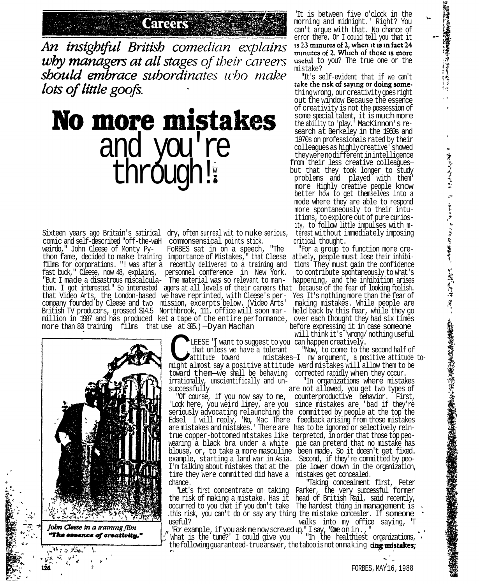**Careers** 

An insightful British comedian explains why managers at all stages of their careers should embrace subordinates who make lots of little goofs.

## **No more mistakes** and you're through!

Sixteen years ago Britain's satirical dry, often surreal wit to nuke serious, comic and self-described "off-the-waH commonsensical points stick. critical thought.<br>weirdo," John Cleese of Monty Py- FoRBES sat in on a speech, "The "For a group to thon fame, decided to make training importance of Mistakes," that Cleese films for corporations. "! was after a recently delivered to a training and tions They must gain the confidence fast buck," Cleese, now 48, explains, personnel conference in New York. "But I made a disastrous miscalcula- The material was so relevant to man- happening, and the inhibition arises tion. I got interested." So interested agers at all levels of their careers that because of the fear of looking foolish. that Video Arts, the London-based we have reprinted, with Cleese's per- Yes It's nothing more than the fear of company founded by Cleese and two mission, excerpts below. (Video Arts' British TV producers, grossed \$14.5 Northbrook, 111. office will soon mar- held back by this fear, while they go million in 1987 and has produced ket a tape of the entire performance, over each thought they had six times more than 80 training films that use at \$95.) -Dyan Machan before expressing it in case someone

LEESE "[ want to suggest to you can happen creatively.

toward them—we shall be behaving corrected rapidly when they occur. irrationally, unscientifically and un-<br>successfully

'Look here, you weird limey, are you since mistakes are 'bad if they're seriously advocating relaunching the committed by people at the top the Edsel I will reply, 'No, Mac There feedback arising from those mistakes are mistakes and mistakes.' There are has to be ignored or selectively reintrue copper-bottomed mtstakes like terpretcd, in order that those top peowearing a black bra under a white pie can pretend that no mistake has blouse, or, to take a more masculine been made. So it doesn't get fixed. example, starting a land war in Asia. Second, if they're committed by peo-I'm talking about mistakes that at the pie lower down in the organization, time they were committed did have a mistakes get concealed.

the risk of making a mistake. Has it head of British Rail, said recently, occurred to you that if you don't take The hardest thing in management is .this risk, you can't do or say any thing the mistake concealer. If someone useful? walks into my office saying, 'T

'For example, if you ask me now screwed up," I say, "Come on in.,"<br>What is the tune?' I could give you "In the healthiest organizations, What is the tune?' I could give you the following guaranteed-true answer, the taboo is not on making  $\mathop{\mathrm{diag}}\limits$  mistakes;

'It is between five o'clock in the morning and midnight.' Right? You can't argue with that. No chance of error there. Or I couid tell you that it<br>is  $23$  minutes of  $2$ , when it is in fact  $24$ minutes of 2. Which of those is more useful to you? The true one or the mistake?

と、これをしていることに、このことに、このこと、実際をする、ことに、これは、また、このは、実際の意味を感じるのが、気をかけることが思いと思います。

"It's self-evident that if we can't take the nsk of saying or doing something wrong, our creativity goes right out the window Because the essence of creativity is not the possession of some special talent, it is much more the ability to 'play.' MacKinnon's research at Berkeley in the 1960s and 1970s on professionals rated by their colleagues as highly creative' showed they were no different in intelligence from their less creative colleagues but that they took longer to study problems and played with them' more Highly creative people know better how to get themselves into a mode where they are able to respond more spontaneously to their intuitions, to explore out of pure curiosity, to follow little impulses with m-

" For a group to function more cre-<br>atively, people must lose their inhibi-

will think it's 'wrong/ nothing useful

that unless we have a tolerant "Now, to come to the second half of attitude toward mistakes—I my argument, a positive attitude towill think it's 'wrong/nothing useful<br>LEESE "[want to suggest to you can happen creatively.<br>that unless we have a tolerant "Now, to come to the second half of<br>might almost say a positive attitude ward mistakes will allow t

are not allowed, you get two types of "Of course, if you now say to me, counterproductive behavior. First,

chance. "Taking concealment first, Peter "Let's first concentrate on taking Parker, the very successful former



Jobn Cleese in a training film "The essence of creativity."

 $\tau \approx 2Gm$ 

126